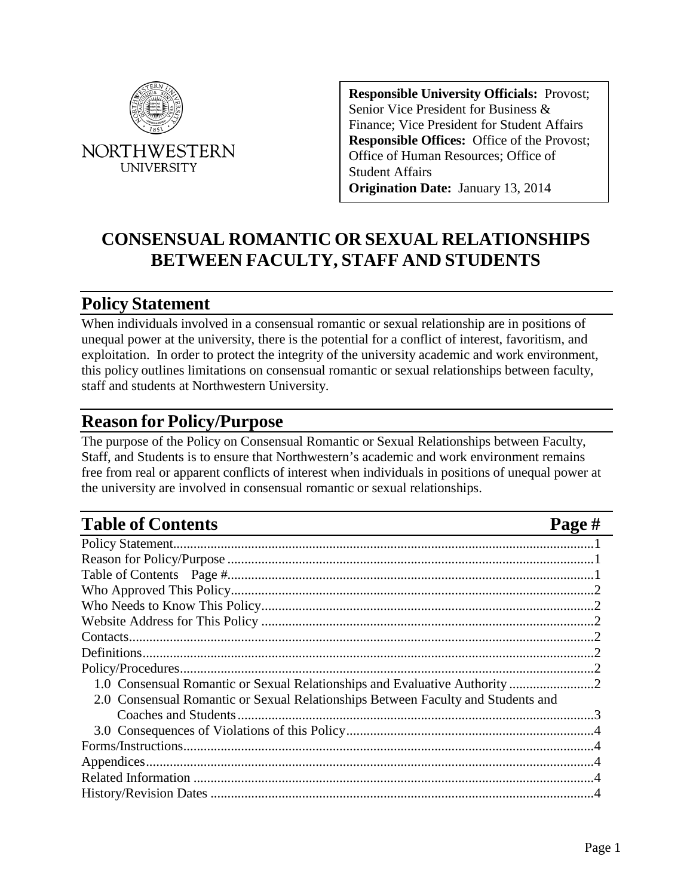

**NORTHWESTERN UNIVERSITY** 

**Responsible University Officials:** Provost; Senior Vice President for Business & Finance; Vice President for Student Affairs **Responsible Offices:** Office of the Provost; Office of Human Resources; Office of Student Affairs **Origination Date:** January 13, 2014

# **CONSENSUAL ROMANTIC OR SEXUAL RELATIONSHIPS BETWEEN FACULTY, STAFF AND STUDENTS**

#### <span id="page-0-0"></span>**Policy Statement**

When individuals involved in a consensual romantic or sexual relationship are in positions of unequal power at the university, there is the potential for a conflict of interest, favoritism, and exploitation. In order to protect the integrity of the university academic and work environment, this policy outlines limitations on consensual romantic or sexual relationships between faculty, staff and students at Northwestern University.

#### <span id="page-0-1"></span>**Reason for Policy/Purpose**

The purpose of the Policy on Consensual Romantic or Sexual Relationships between Faculty, Staff, and Students is to ensure that Northwestern's academic and work environment remains free from real or apparent conflicts of interest when individuals in positions of unequal power at the university are involved in consensual romantic or sexual relationships.

## <span id="page-0-2"></span>**Table of Contents Page #**

| 1.0 Consensual Romantic or Sexual Relationships and Evaluative Authority 2       |  |
|----------------------------------------------------------------------------------|--|
| 2.0 Consensual Romantic or Sexual Relationships Between Faculty and Students and |  |
|                                                                                  |  |
|                                                                                  |  |
|                                                                                  |  |
|                                                                                  |  |
|                                                                                  |  |
|                                                                                  |  |
|                                                                                  |  |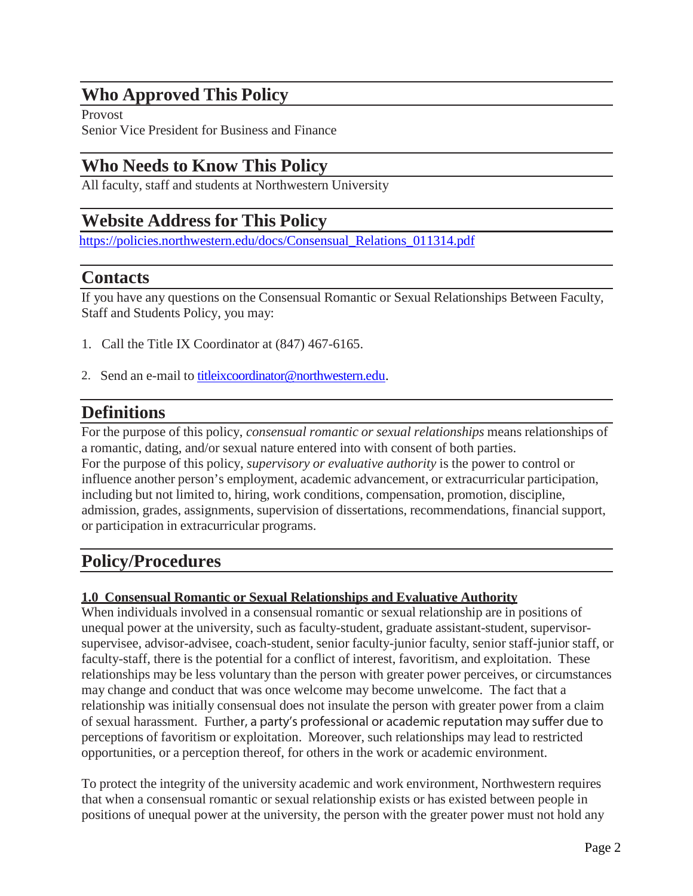## <span id="page-1-0"></span>**Who Approved This Policy**

Provost Senior Vice President for Business and Finance

#### <span id="page-1-1"></span>**Who Needs to Know This Policy**

All faculty, staff and students at Northwestern University

# <span id="page-1-2"></span>**Website Address for This Policy**

[https://policies.northwestern.edu/docs/Consensual\\_Relations\\_011314.pdf](https://policies.northwestern.edu/docs/Consensual_Relations_011314.pdf)

#### <span id="page-1-3"></span>**Contacts**

If you have any questions on the Consensual Romantic or Sexual Relationships Between Faculty, Staff and Students Policy, you may:

- 1. Call the Title IX Coordinator at (847) 467-6165.
- 2. Send an e-mail to [titleixcoordinator@northwestern.edu.](mailto:titleixcoordinator@northwestern.edu)

# <span id="page-1-4"></span>**Definitions**

For the purpose of this policy, *consensual romantic or sexual relationships* means relationships of a romantic, dating, and/or sexual nature entered into with consent of both parties. For the purpose of this policy, *supervisory or evaluative authority* is the power to control or influence another person's employment, academic advancement, or extracurricular participation, including but not limited to, hiring, work conditions, compensation, promotion, discipline, admission, grades, assignments, supervision of dissertations, recommendations, financial support, or participation in extracurricular programs.

## <span id="page-1-5"></span>**Policy/Procedures**

#### <span id="page-1-6"></span>**1.0 Consensual Romantic or Sexual Relationships and Evaluative Authority**

When individuals involved in a consensual romantic or sexual relationship are in positions of unequal power at the university, such as faculty-student, graduate assistant-student, supervisorsupervisee, advisor-advisee, coach-student, senior faculty-junior faculty, senior staff-junior staff, or faculty-staff, there is the potential for a conflict of interest, favoritism, and exploitation. These relationships may be less voluntary than the person with greater power perceives, or circumstances may change and conduct that was once welcome may become unwelcome. The fact that a relationship was initially consensual does not insulate the person with greater power from a claim of sexual harassment. Further, a party's professional or academic reputation may suffer due to perceptions of favoritism or exploitation. Moreover, such relationships may lead to restricted opportunities, or a perception thereof, for others in the work or academic environment.

To protect the integrity of the university academic and work environment, Northwestern requires that when a consensual romantic or sexual relationship exists or has existed between people in positions of unequal power at the university, the person with the greater power must not hold any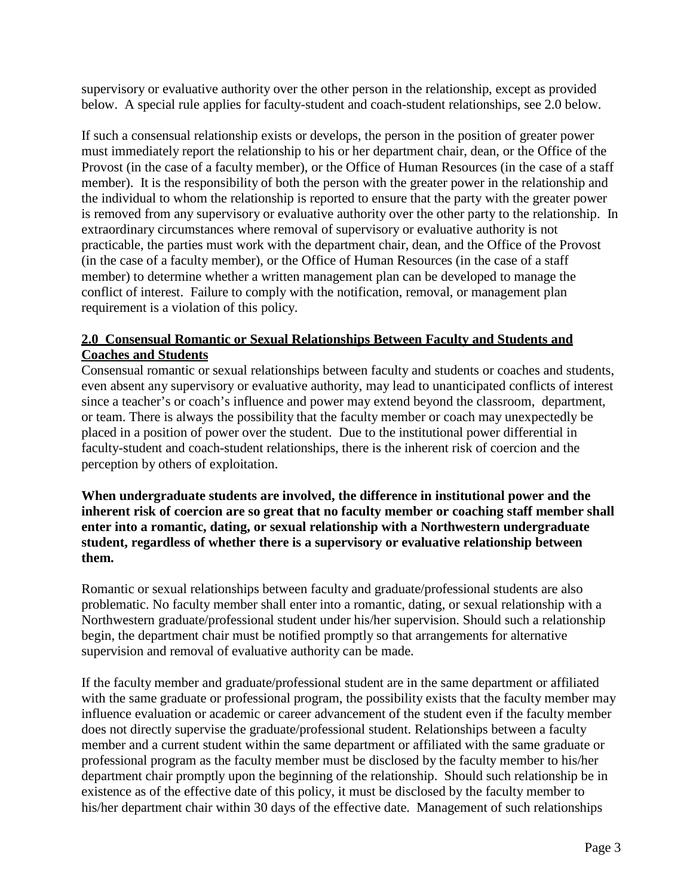supervisory or evaluative authority over the other person in the relationship, except as provided below. A special rule applies for faculty-student and coach-student relationships, see 2.0 below.

If such a consensual relationship exists or develops, the person in the position of greater power must immediately report the relationship to his or her department chair, dean, or the Office of the Provost (in the case of a faculty member), or the Office of Human Resources (in the case of a staff member). It is the responsibility of both the person with the greater power in the relationship and the individual to whom the relationship is reported to ensure that the party with the greater power is removed from any supervisory or evaluative authority over the other party to the relationship. In extraordinary circumstances where removal of supervisory or evaluative authority is not practicable, the parties must work with the department chair, dean, and the Office of the Provost (in the case of a faculty member), or the Office of Human Resources (in the case of a staff member) to determine whether a written management plan can be developed to manage the conflict of interest. Failure to comply with the notification, removal, or management plan requirement is a violation of this policy.

#### <span id="page-2-0"></span>**2.0 Consensual Romantic or Sexual Relationships Between Faculty and Students and Coaches and Students**

Consensual romantic or sexual relationships between faculty and students or coaches and students, even absent any supervisory or evaluative authority, may lead to unanticipated conflicts of interest since a teacher's or coach's influence and power may extend beyond the classroom, department, or team. There is always the possibility that the faculty member or coach may unexpectedly be placed in a position of power over the student. Due to the institutional power differential in faculty-student and coach-student relationships, there is the inherent risk of coercion and the perception by others of exploitation.

**When undergraduate students are involved, the difference in institutional power and the inherent risk of coercion are so great that no faculty member or coaching staff member shall enter into a romantic, dating, or sexual relationship with a Northwestern undergraduate student, regardless of whether there is a supervisory or evaluative relationship between them.**

Romantic or sexual relationships between faculty and graduate/professional students are also problematic. No faculty member shall enter into a romantic, dating, or sexual relationship with a Northwestern graduate/professional student under his/her supervision. Should such a relationship begin, the department chair must be notified promptly so that arrangements for alternative supervision and removal of evaluative authority can be made.

If the faculty member and graduate/professional student are in the same department or affiliated with the same graduate or professional program, the possibility exists that the faculty member may influence evaluation or academic or career advancement of the student even if the faculty member does not directly supervise the graduate/professional student. Relationships between a faculty member and a current student within the same department or affiliated with the same graduate or professional program as the faculty member must be disclosed by the faculty member to his/her department chair promptly upon the beginning of the relationship. Should such relationship be in existence as of the effective date of this policy, it must be disclosed by the faculty member to his/her department chair within 30 days of the effective date. Management of such relationships